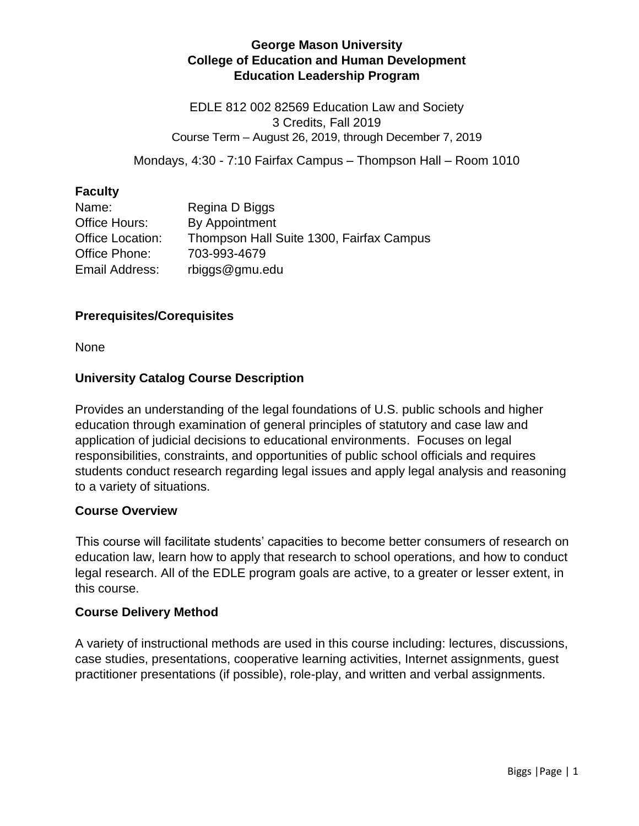# **George Mason University College of Education and Human Development Education Leadership Program**

EDLE 812 002 82569 Education Law and Society 3 Credits, Fall 2019 Course Term – August 26, 2019, through December 7, 2019

Mondays, 4:30 - 7:10 Fairfax Campus – Thompson Hall – Room 1010

# **Faculty**

| Name:            | Regina D Biggs                           |
|------------------|------------------------------------------|
| Office Hours:    | By Appointment                           |
| Office Location: | Thompson Hall Suite 1300, Fairfax Campus |
| Office Phone:    | 703-993-4679                             |
| Email Address:   | rbiggs@gmu.edu                           |

#### **Prerequisites/Corequisites**

None

# **University Catalog Course Description**

Provides an understanding of the legal foundations of U.S. public schools and higher education through examination of general principles of statutory and case law and application of judicial decisions to educational environments. Focuses on legal responsibilities, constraints, and opportunities of public school officials and requires students conduct research regarding legal issues and apply legal analysis and reasoning to a variety of situations.

#### **Course Overview**

This course will facilitate students' capacities to become better consumers of research on education law, learn how to apply that research to school operations, and how to conduct legal research. All of the EDLE program goals are active, to a greater or lesser extent, in this course.

#### **Course Delivery Method**

A variety of instructional methods are used in this course including: lectures, discussions, case studies, presentations, cooperative learning activities, Internet assignments, guest practitioner presentations (if possible), role-play, and written and verbal assignments.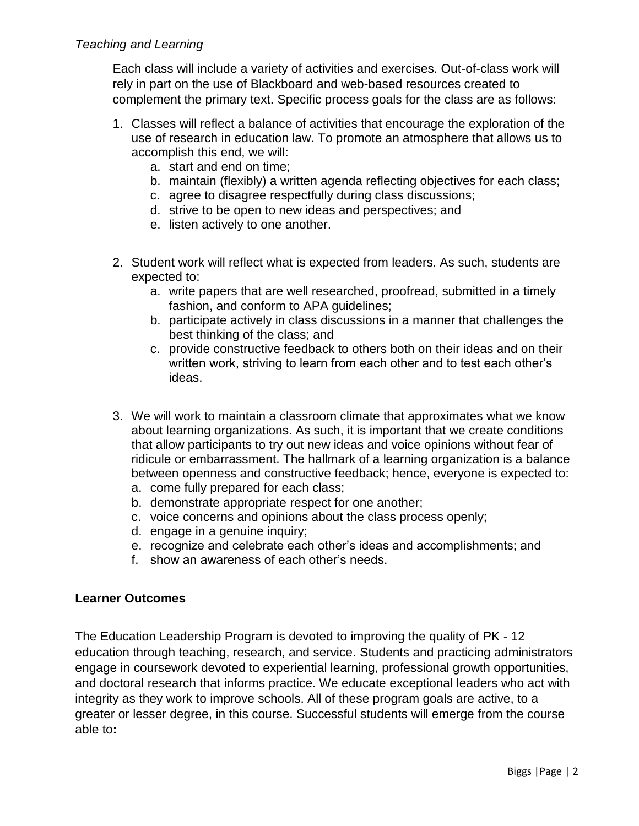# *Teaching and Learning*

Each class will include a variety of activities and exercises. Out-of-class work will rely in part on the use of Blackboard and web-based resources created to complement the primary text. Specific process goals for the class are as follows:

- 1. Classes will reflect a balance of activities that encourage the exploration of the use of research in education law. To promote an atmosphere that allows us to accomplish this end, we will:
	- a. start and end on time;
	- b. maintain (flexibly) a written agenda reflecting objectives for each class;
	- c. agree to disagree respectfully during class discussions;
	- d. strive to be open to new ideas and perspectives; and
	- e. listen actively to one another.
- 2. Student work will reflect what is expected from leaders. As such, students are expected to:
	- a. write papers that are well researched, proofread, submitted in a timely fashion, and conform to APA guidelines;
	- b. participate actively in class discussions in a manner that challenges the best thinking of the class; and
	- c. provide constructive feedback to others both on their ideas and on their written work, striving to learn from each other and to test each other's ideas.
- 3. We will work to maintain a classroom climate that approximates what we know about learning organizations. As such, it is important that we create conditions that allow participants to try out new ideas and voice opinions without fear of ridicule or embarrassment. The hallmark of a learning organization is a balance between openness and constructive feedback; hence, everyone is expected to:
	- a. come fully prepared for each class;
	- b. demonstrate appropriate respect for one another;
	- c. voice concerns and opinions about the class process openly;
	- d. engage in a genuine inquiry;
	- e. recognize and celebrate each other's ideas and accomplishments; and
	- f. show an awareness of each other's needs.

#### **Learner Outcomes**

The Education Leadership Program is devoted to improving the quality of PK - 12 education through teaching, research, and service. Students and practicing administrators engage in coursework devoted to experiential learning, professional growth opportunities, and doctoral research that informs practice. We educate exceptional leaders who act with integrity as they work to improve schools. All of these program goals are active, to a greater or lesser degree, in this course. Successful students will emerge from the course able to**:**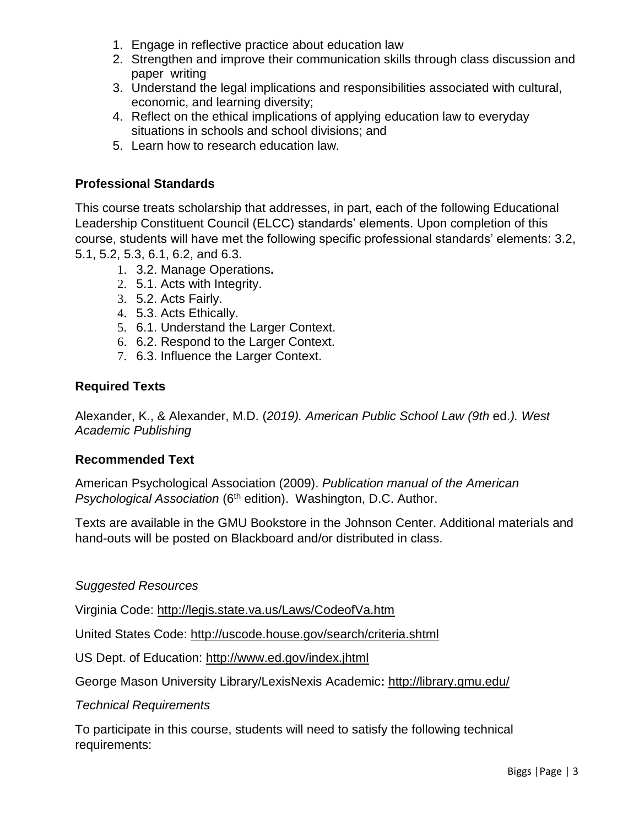- 1. Engage in reflective practice about education law
- 2. Strengthen and improve their communication skills through class discussion and paper writing
- 3. Understand the legal implications and responsibilities associated with cultural, economic, and learning diversity;
- 4. Reflect on the ethical implications of applying education law to everyday situations in schools and school divisions; and
- 5. Learn how to research education law.

# **Professional Standards**

This course treats scholarship that addresses, in part, each of the following Educational Leadership Constituent Council (ELCC) standards' elements. Upon completion of this course, students will have met the following specific professional standards' elements: 3.2, 5.1, 5.2, 5.3, 6.1, 6.2, and 6.3.

- 1. 3.2. Manage Operations**.**
- 2. 5.1. Acts with Integrity.
- 3. 5.2. Acts Fairly.
- 4. 5.3. Acts Ethically.
- 5. 6.1. Understand the Larger Context.
- 6. 6.2. Respond to the Larger Context.
- 7. 6.3. Influence the Larger Context.

# **Required Texts**

Alexander, K., & Alexander, M.D. (*2019). American Public School Law (9th* ed.*). West Academic Publishing*

#### **Recommended Text**

American Psychological Association (2009). *Publication manual of the American*  **Psychological Association** (6<sup>th</sup> edition). Washington, D.C. Author.

Texts are available in the GMU Bookstore in the Johnson Center. Additional materials and hand-outs will be posted on Blackboard and/or distributed in class.

#### *Suggested Resources*

Virginia Code:<http://legis.state.va.us/Laws/CodeofVa.htm>

United States Code:<http://uscode.house.gov/search/criteria.shtml>

US Dept. of Education:<http://www.ed.gov/index.jhtml>

George Mason University Library/LexisNexis Academic**:** <http://library.gmu.edu/>

#### *Technical Requirements*

To participate in this course, students will need to satisfy the following technical requirements: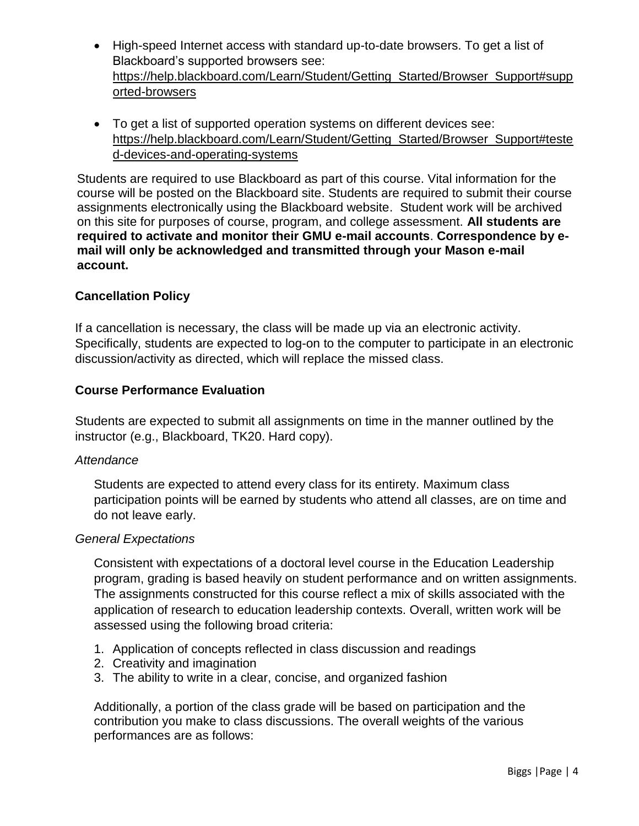- High-speed Internet access with standard up-to-date browsers. To get a list of Blackboard's supported browsers see: [https://help.blackboard.com/Learn/Student/Getting\\_Started/Browser\\_Support#supp](https://help.blackboard.com/Learn/Student/Getting_Started/Browser_Support#supported-browsers) [orted-browsers](https://help.blackboard.com/Learn/Student/Getting_Started/Browser_Support#supported-browsers)
- To get a list of supported operation systems on different devices see: [https://help.blackboard.com/Learn/Student/Getting\\_Started/Browser\\_Support#teste](https://help.blackboard.com/Learn/Student/Getting_Started/Browser_Support#tested-devices-and-operating-systems) [d-devices-and-operating-systems](https://help.blackboard.com/Learn/Student/Getting_Started/Browser_Support#tested-devices-and-operating-systems)

Students are required to use Blackboard as part of this course. Vital information for the course will be posted on the Blackboard site. Students are required to submit their course assignments electronically using the Blackboard website. Student work will be archived on this site for purposes of course, program, and college assessment. **All students are required to activate and monitor their GMU e-mail accounts**. **Correspondence by email will only be acknowledged and transmitted through your Mason e-mail account.**

# **Cancellation Policy**

If a cancellation is necessary, the class will be made up via an electronic activity. Specifically, students are expected to log-on to the computer to participate in an electronic discussion/activity as directed, which will replace the missed class.

#### **Course Performance Evaluation**

Students are expected to submit all assignments on time in the manner outlined by the instructor (e.g., Blackboard, TK20. Hard copy).

#### *Attendance*

Students are expected to attend every class for its entirety. Maximum class participation points will be earned by students who attend all classes, are on time and do not leave early.

#### *General Expectations*

Consistent with expectations of a doctoral level course in the Education Leadership program, grading is based heavily on student performance and on written assignments. The assignments constructed for this course reflect a mix of skills associated with the application of research to education leadership contexts. Overall, written work will be assessed using the following broad criteria:

- 1. Application of concepts reflected in class discussion and readings
- 2. Creativity and imagination
- 3. The ability to write in a clear, concise, and organized fashion

Additionally, a portion of the class grade will be based on participation and the contribution you make to class discussions. The overall weights of the various performances are as follows: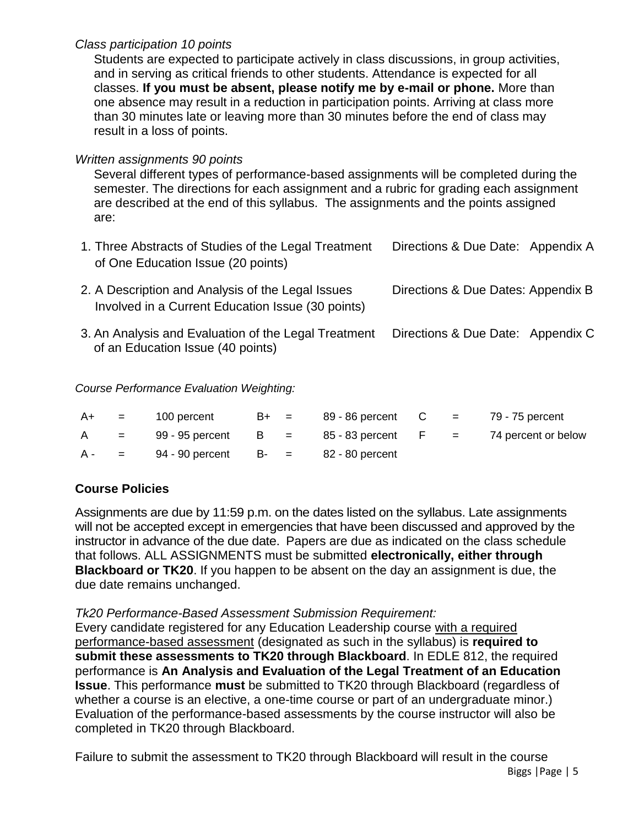# *Class participation 10 points*

Students are expected to participate actively in class discussions, in group activities, and in serving as critical friends to other students. Attendance is expected for all classes. **If you must be absent, please notify me by e-mail or phone.** More than one absence may result in a reduction in participation points. Arriving at class more than 30 minutes late or leaving more than 30 minutes before the end of class may result in a loss of points.

# *Written assignments 90 points*

Several different types of performance-based assignments will be completed during the semester. The directions for each assignment and a rubric for grading each assignment are described at the end of this syllabus. The assignments and the points assigned are:

| 1. Three Abstracts of Studies of the Legal Treatment<br>of One Education Issue (20 points)             | Directions & Due Date: Appendix A  |
|--------------------------------------------------------------------------------------------------------|------------------------------------|
| 2. A Description and Analysis of the Legal Issues<br>Involved in a Current Education Issue (30 points) | Directions & Due Dates: Appendix B |
|                                                                                                        |                                    |

3. An Analysis and Evaluation of the Legal Treatment of an Education Issue (40 points) Directions & Due Date: Appendix C

# *Course Performance Evaluation Weighting:*

|  | $A+$ = 100 percent B+ = 89 - 86 percent C = 79 - 75 percent |  |  |                                                                       |
|--|-------------------------------------------------------------|--|--|-----------------------------------------------------------------------|
|  |                                                             |  |  | $A = 99 - 95$ percent $B = 85 - 83$ percent $F = 74$ percent or below |
|  | $A - = 94 - 90$ percent B- = 82 - 80 percent                |  |  |                                                                       |

# **Course Policies**

Assignments are due by 11:59 p.m. on the dates listed on the syllabus. Late assignments will not be accepted except in emergencies that have been discussed and approved by the instructor in advance of the due date. Papers are due as indicated on the class schedule that follows. ALL ASSIGNMENTS must be submitted **electronically, either through Blackboard or TK20**. If you happen to be absent on the day an assignment is due, the due date remains unchanged.

#### *Tk20 Performance-Based Assessment Submission Requirement:*

Every candidate registered for any Education Leadership course with a required performance-based assessment (designated as such in the syllabus) is **required to submit these assessments to TK20 through Blackboard**. In EDLE 812, the required performance is **An Analysis and Evaluation of the Legal Treatment of an Education Issue**. This performance **must** be submitted to TK20 through Blackboard (regardless of whether a course is an elective, a one-time course or part of an undergraduate minor.) Evaluation of the performance-based assessments by the course instructor will also be completed in TK20 through Blackboard.

Failure to submit the assessment to TK20 through Blackboard will result in the course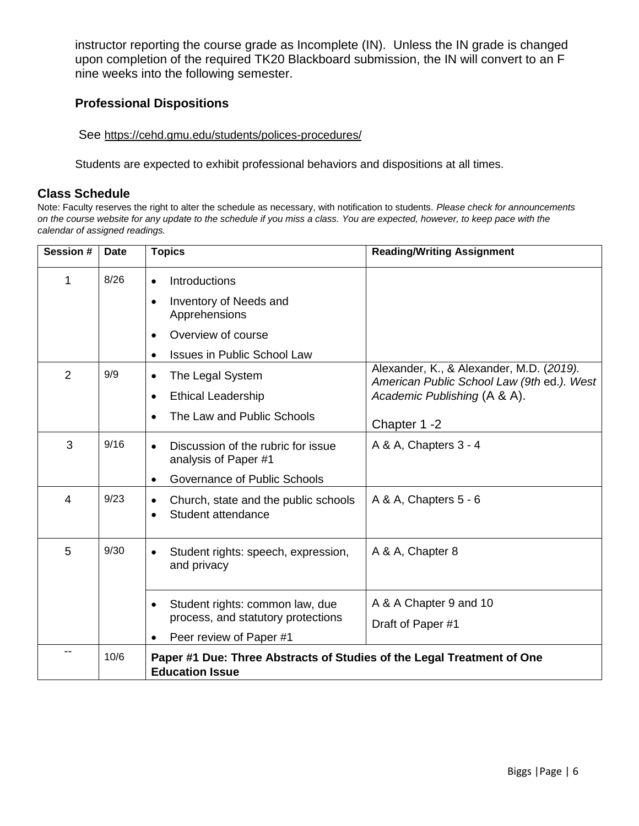instructor reporting the course grade as Incomplete (IN). Unless the IN grade is changed upon completion of the required TK20 Blackboard submission, the IN will convert to an F nine weeks into the following semester.

#### **Professional Dispositions**

See <https://cehd.gmu.edu/students/polices-procedures/>

Students are expected to exhibit professional behaviors and dispositions at all times.

#### **Class Schedule**

Note: Faculty reserves the right to alter the schedule as necessary, with notification to students. *Please check for announcements on the course website for any update to the schedule if you miss a class. You are expected, however, to keep pace with the calendar of assigned readings.* 

| Session #      | <b>Date</b> | <b>Topics</b>                                                                                                      | <b>Reading/Writing Assignment</b>                                                                                      |
|----------------|-------------|--------------------------------------------------------------------------------------------------------------------|------------------------------------------------------------------------------------------------------------------------|
| 1              | 8/26        | Introductions<br>$\bullet$<br>Inventory of Needs and<br>$\bullet$<br>Apprehensions                                 |                                                                                                                        |
|                |             | Overview of course<br>$\bullet$<br><b>Issues in Public School Law</b><br>$\bullet$                                 |                                                                                                                        |
| $\overline{2}$ | 9/9         | The Legal System<br>$\bullet$<br><b>Ethical Leadership</b><br>$\bullet$<br>The Law and Public Schools<br>$\bullet$ | Alexander, K., & Alexander, M.D. (2019).<br>American Public School Law (9th ed.). West<br>Academic Publishing (A & A). |
|                |             |                                                                                                                    | Chapter 1 -2                                                                                                           |
| 3              | 9/16        | Discussion of the rubric for issue<br>$\bullet$<br>analysis of Paper #1                                            | A & A, Chapters 3 - 4                                                                                                  |
|                |             | Governance of Public Schools<br>$\bullet$                                                                          |                                                                                                                        |
| 4              | 9/23        | Church, state and the public schools<br>$\bullet$<br>Student attendance<br>$\bullet$                               | A & A, Chapters 5 - 6                                                                                                  |
| 5              | 9/30        | Student rights: speech, expression,<br>$\bullet$<br>and privacy                                                    | A & A, Chapter 8                                                                                                       |
|                |             | Student rights: common law, due<br>$\bullet$<br>process, and statutory protections                                 | A & A Chapter 9 and 10<br>Draft of Paper #1                                                                            |
|                |             | Peer review of Paper #1                                                                                            |                                                                                                                        |
|                | 10/6        | Paper #1 Due: Three Abstracts of Studies of the Legal Treatment of One<br><b>Education Issue</b>                   |                                                                                                                        |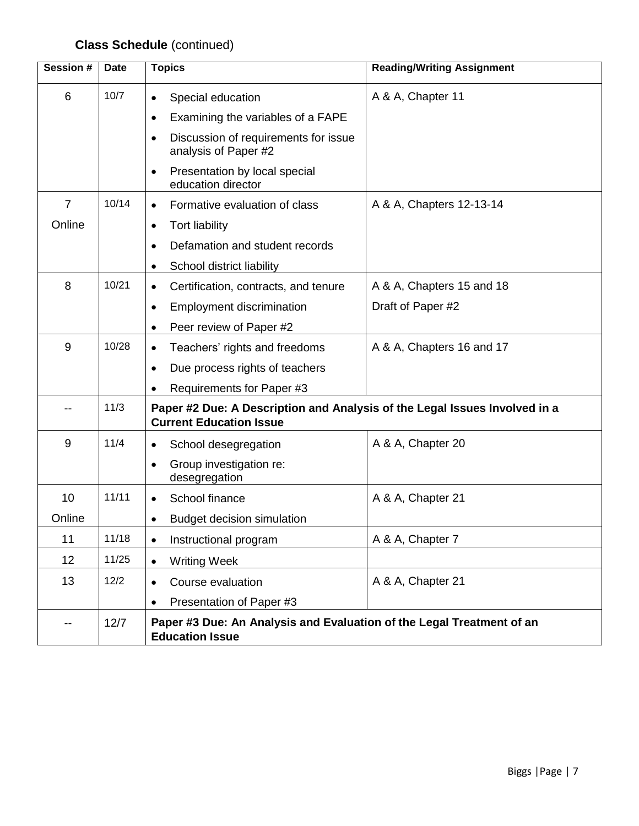# **Class Schedule** (continued)

| Session #      | <b>Date</b> | <b>Topics</b>                                                                                                | <b>Reading/Writing Assignment</b> |
|----------------|-------------|--------------------------------------------------------------------------------------------------------------|-----------------------------------|
| 6              | 10/7        | Special education<br>$\bullet$<br>$\bullet$                                                                  | A & A, Chapter 11                 |
|                |             | Examining the variables of a FAPE                                                                            |                                   |
|                |             | Discussion of requirements for issue<br>$\bullet$<br>analysis of Paper #2                                    |                                   |
|                |             | Presentation by local special<br>$\bullet$<br>education director                                             |                                   |
| $\overline{7}$ | 10/14       | Formative evaluation of class<br>$\bullet$                                                                   | A & A, Chapters 12-13-14          |
| Online         |             | <b>Tort liability</b><br>$\bullet$                                                                           |                                   |
|                |             | Defamation and student records<br>$\bullet$                                                                  |                                   |
|                |             | School district liability<br>$\bullet$                                                                       |                                   |
| 8              | 10/21       | Certification, contracts, and tenure<br>$\bullet$                                                            | A & A, Chapters 15 and 18         |
|                |             | <b>Employment discrimination</b><br>$\bullet$                                                                | Draft of Paper #2                 |
|                |             | Peer review of Paper #2<br>$\bullet$                                                                         |                                   |
| 9              | 10/28       | Teachers' rights and freedoms<br>$\bullet$                                                                   | A & A, Chapters 16 and 17         |
|                |             | Due process rights of teachers<br>$\bullet$                                                                  |                                   |
|                |             | Requirements for Paper #3<br>$\bullet$                                                                       |                                   |
|                | 11/3        | Paper #2 Due: A Description and Analysis of the Legal Issues Involved in a<br><b>Current Education Issue</b> |                                   |
| 9              | 11/4        | School desegregation<br>$\bullet$                                                                            | A & A, Chapter 20                 |
|                |             | Group investigation re:<br>$\bullet$<br>desegregation                                                        |                                   |
| 10             | 11/11       | School finance<br>$\bullet$                                                                                  | A & A, Chapter 21                 |
| Online         |             | <b>Budget decision simulation</b><br>$\bullet$                                                               |                                   |
| 11             | 11/18       | Instructional program<br>$\bullet$                                                                           | A & A, Chapter 7                  |
| 12             | 11/25       | <b>Writing Week</b><br>$\bullet$                                                                             |                                   |
| 13             | 12/2        | Course evaluation<br>$\bullet$                                                                               | A & A, Chapter 21                 |
|                |             | Presentation of Paper #3<br>$\bullet$                                                                        |                                   |
| --             | 12/7        | Paper #3 Due: An Analysis and Evaluation of the Legal Treatment of an<br><b>Education Issue</b>              |                                   |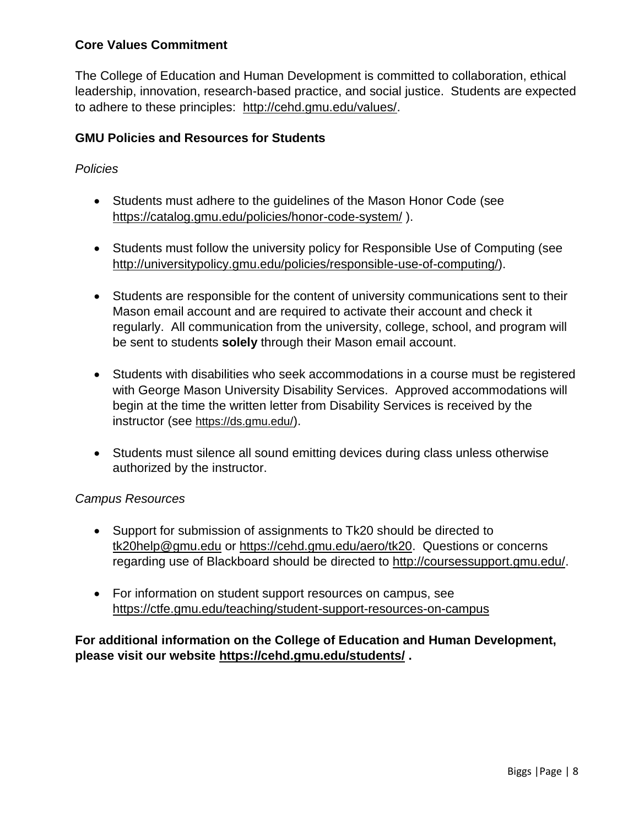# **Core Values Commitment**

The College of Education and Human Development is committed to collaboration, ethical leadership, innovation, research-based practice, and social justice. Students are expected to adhere to these principles: [http://cehd.gmu.edu/values/.](http://cehd.gmu.edu/values/)

# **GMU Policies and Resources for Students**

# *Policies*

- Students must adhere to the guidelines of the Mason Honor Code (see <https://catalog.gmu.edu/policies/honor-code-system/> ).
- Students must follow the university policy for Responsible Use of Computing (see [http://universitypolicy.gmu.edu/policies/responsible-use-of-computing/\)](http://universitypolicy.gmu.edu/policies/responsible-use-of-computing/).
- Students are responsible for the content of university communications sent to their Mason email account and are required to activate their account and check it regularly. All communication from the university, college, school, and program will be sent to students **solely** through their Mason email account.
- Students with disabilities who seek accommodations in a course must be registered with George Mason University Disability Services. Approved accommodations will begin at the time the written letter from Disability Services is received by the instructor (see <https://ds.gmu.edu/>).
- Students must silence all sound emitting devices during class unless otherwise authorized by the instructor.

#### *Campus Resources*

- Support for submission of assignments to Tk20 should be directed to [tk20help@gmu.edu](mailto:tk20help@gmu.edu) or [https://cehd.gmu.edu/aero/tk20.](https://cehd.gmu.edu/aero/tk20) Questions or concerns regarding use of Blackboard should be directed to [http://coursessupport.gmu.edu/.](http://coursessupport.gmu.edu/)
- For information on student support resources on campus, see <https://ctfe.gmu.edu/teaching/student-support-resources-on-campus>

**For additional information on the College of Education and Human Development, please visit our website <https://cehd.gmu.edu/students/> .**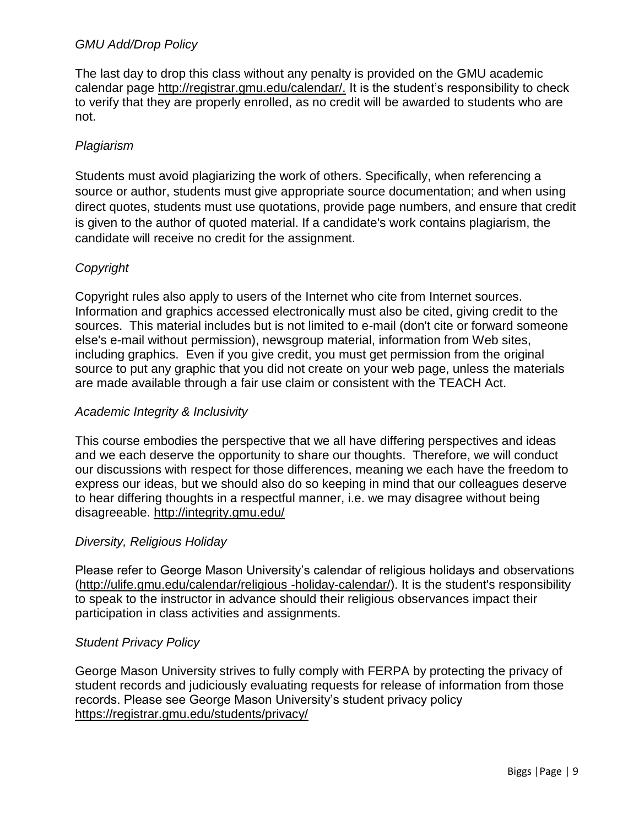## *GMU Add/Drop Policy*

The last day to drop this class without any penalty is provided on the GMU academic calendar page [http://registrar.gmu.edu/calendar/.](http://registrar.gmu.edu/calendar/) It is the student's responsibility to check to verify that they are properly enrolled, as no credit will be awarded to students who are not.

# *Plagiarism*

Students must avoid plagiarizing the work of others. Specifically, when referencing a source or author, students must give appropriate source documentation; and when using direct quotes, students must use quotations, provide page numbers, and ensure that credit is given to the author of quoted material. If a candidate's work contains plagiarism, the candidate will receive no credit for the assignment.

# *Copyright*

Copyright rules also apply to users of the Internet who cite from Internet sources. Information and graphics accessed electronically must also be cited, giving credit to the sources. This material includes but is not limited to e-mail (don't cite or forward someone else's e-mail without permission), newsgroup material, information from Web sites, including graphics. Even if you give credit, you must get permission from the original source to put any graphic that you did not create on your web page, unless the materials are made available through a fair use claim or consistent with the TEACH Act.

#### *Academic Integrity & Inclusivity*

This course embodies the perspective that we all have differing perspectives and ideas and we each deserve the opportunity to share our thoughts. Therefore, we will conduct our discussions with respect for those differences, meaning we each have the freedom to express our ideas, but we should also do so keeping in mind that our colleagues deserve to hear differing thoughts in a respectful manner, i.e. we may disagree without being disagreeable.<http://integrity.gmu.edu/>

#### *Diversity, Religious Holiday*

Please refer to George Mason University's calendar of religious holidays and observations [\(http://ulife.gmu.edu/calendar/religious -holiday-calendar/\)](http://ulife.gmu.edu/calendar/religious%20-holiday-calendar/). It is the student's responsibility to speak to the instructor in advance should their religious observances impact their participation in class activities and assignments.

#### *Student Privacy Policy*

George Mason University strives to fully comply with FERPA by protecting the privacy of student records and judiciously evaluating requests for release of information from those records. Please see George Mason University's student privacy policy <https://registrar.gmu.edu/students/privacy/>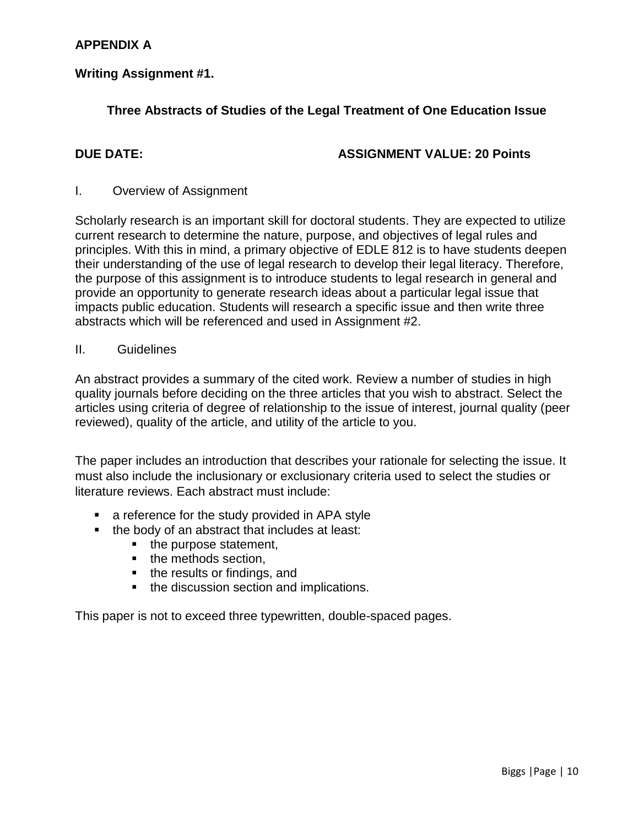# **APPENDIX A**

#### **Writing Assignment #1.**

# **Three Abstracts of Studies of the Legal Treatment of One Education Issue**

#### **DUE DATE: ASSIGNMENT VALUE: 20 Points**

#### I. Overview of Assignment

Scholarly research is an important skill for doctoral students. They are expected to utilize current research to determine the nature, purpose, and objectives of legal rules and principles. With this in mind, a primary objective of EDLE 812 is to have students deepen their understanding of the use of legal research to develop their legal literacy. Therefore, the purpose of this assignment is to introduce students to legal research in general and provide an opportunity to generate research ideas about a particular legal issue that impacts public education. Students will research a specific issue and then write three abstracts which will be referenced and used in Assignment #2.

#### II. Guidelines

An abstract provides a summary of the cited work. Review a number of studies in high quality journals before deciding on the three articles that you wish to abstract. Select the articles using criteria of degree of relationship to the issue of interest, journal quality (peer reviewed), quality of the article, and utility of the article to you.

The paper includes an introduction that describes your rationale for selecting the issue. It must also include the inclusionary or exclusionary criteria used to select the studies or literature reviews. Each abstract must include:

- **a** reference for the study provided in APA style
- $\blacksquare$  the body of an abstract that includes at least:
	- the purpose statement,
	- the methods section,
	- the results or findings, and
	- the discussion section and implications.

This paper is not to exceed three typewritten, double-spaced pages.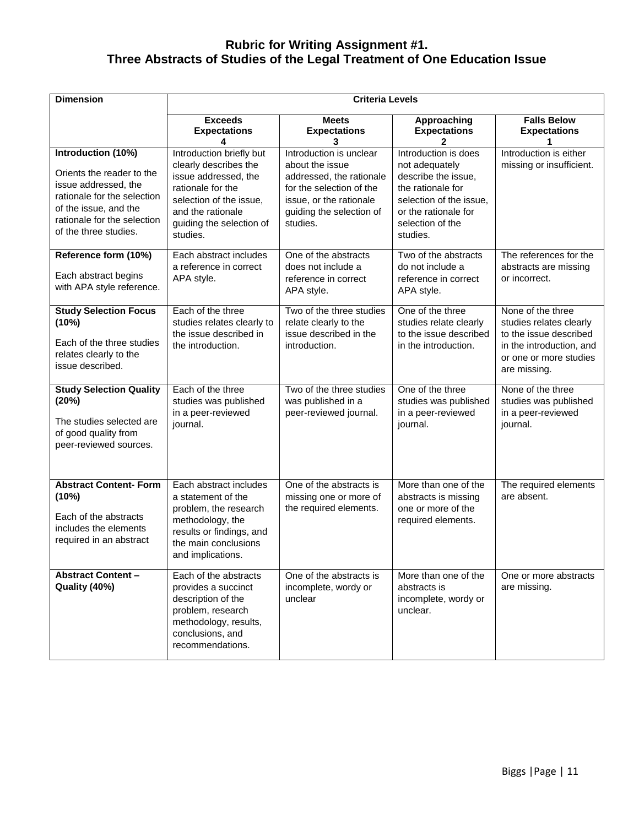#### **Rubric for Writing Assignment #1. Three Abstracts of Studies of the Legal Treatment of One Education Issue**

| <b>Dimension</b>                                                                                                                                                                        |                                                                                                                                                                                        | <b>Criteria Levels</b>                                                                                                                                                |                                                                                                                                                                       |                                                                                                                                              |
|-----------------------------------------------------------------------------------------------------------------------------------------------------------------------------------------|----------------------------------------------------------------------------------------------------------------------------------------------------------------------------------------|-----------------------------------------------------------------------------------------------------------------------------------------------------------------------|-----------------------------------------------------------------------------------------------------------------------------------------------------------------------|----------------------------------------------------------------------------------------------------------------------------------------------|
|                                                                                                                                                                                         | <b>Exceeds</b><br><b>Expectations</b><br>4                                                                                                                                             | <b>Meets</b><br><b>Expectations</b><br>3                                                                                                                              | Approaching<br><b>Expectations</b><br>2                                                                                                                               | <b>Falls Below</b><br><b>Expectations</b>                                                                                                    |
| Introduction (10%)<br>Orients the reader to the<br>issue addressed, the<br>rationale for the selection<br>of the issue, and the<br>rationale for the selection<br>of the three studies. | Introduction briefly but<br>clearly describes the<br>issue addressed, the<br>rationale for the<br>selection of the issue,<br>and the rationale<br>guiding the selection of<br>studies. | Introduction is unclear<br>about the issue<br>addressed, the rationale<br>for the selection of the<br>issue, or the rationale<br>guiding the selection of<br>studies. | Introduction is does<br>not adequately<br>describe the issue,<br>the rationale for<br>selection of the issue.<br>or the rationale for<br>selection of the<br>studies. | Introduction is either<br>missing or insufficient.                                                                                           |
| Reference form (10%)<br>Each abstract begins<br>with APA style reference.                                                                                                               | Each abstract includes<br>a reference in correct<br>APA style.                                                                                                                         | One of the abstracts<br>does not include a<br>reference in correct<br>APA style.                                                                                      | Two of the abstracts<br>do not include a<br>reference in correct<br>APA style.                                                                                        | The references for the<br>abstracts are missing<br>or incorrect.                                                                             |
| <b>Study Selection Focus</b><br>(10%)<br>Each of the three studies<br>relates clearly to the<br>issue described.                                                                        | Each of the three<br>studies relates clearly to<br>the issue described in<br>the introduction.                                                                                         | Two of the three studies<br>relate clearly to the<br>issue described in the<br>introduction.                                                                          | One of the three<br>studies relate clearly<br>to the issue described<br>in the introduction.                                                                          | None of the three<br>studies relates clearly<br>to the issue described<br>in the introduction, and<br>or one or more studies<br>are missing. |
| <b>Study Selection Quality</b><br>(20%)<br>The studies selected are<br>of good quality from<br>peer-reviewed sources.                                                                   | Each of the three<br>studies was published<br>in a peer-reviewed<br>journal.                                                                                                           | Two of the three studies<br>was published in a<br>peer-reviewed journal.                                                                                              | One of the three<br>studies was published<br>in a peer-reviewed<br>journal.                                                                                           | None of the three<br>studies was published<br>in a peer-reviewed<br>journal.                                                                 |
| <b>Abstract Content- Form</b><br>(10%)<br>Each of the abstracts<br>includes the elements<br>required in an abstract                                                                     | Each abstract includes<br>a statement of the<br>problem, the research<br>methodology, the<br>results or findings, and<br>the main conclusions<br>and implications.                     | One of the abstracts is<br>missing one or more of<br>the required elements.                                                                                           | More than one of the<br>abstracts is missing<br>one or more of the<br>required elements.                                                                              | The required elements<br>are absent.                                                                                                         |
| <b>Abstract Content -</b><br>Quality (40%)                                                                                                                                              | Each of the abstracts<br>provides a succinct<br>description of the<br>problem, research<br>methodology, results,<br>conclusions, and<br>recommendations.                               | One of the abstracts is<br>incomplete, wordy or<br>unclear                                                                                                            | More than one of the<br>abstracts is<br>incomplete, wordy or<br>unclear.                                                                                              | One or more abstracts<br>are missing.                                                                                                        |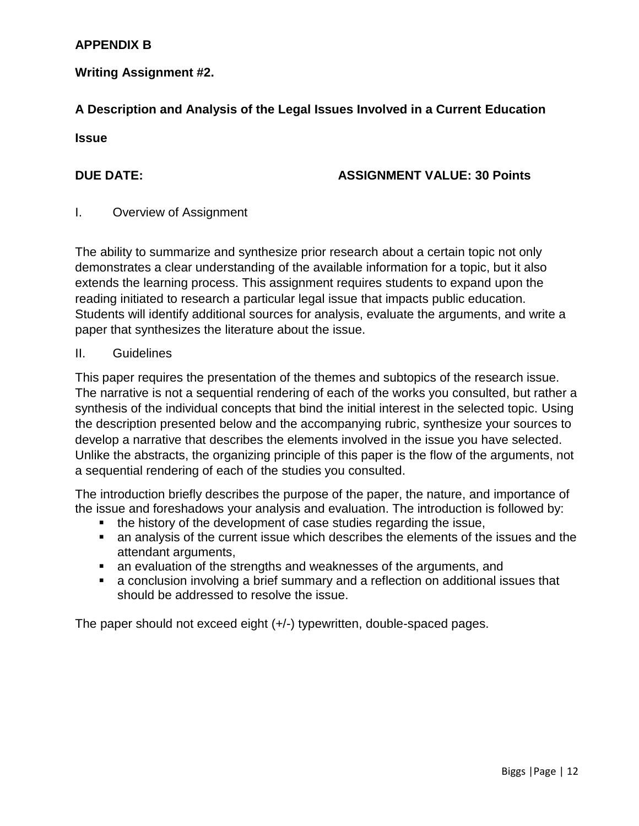# **APPENDIX B**

# **Writing Assignment #2.**

# **A Description and Analysis of the Legal Issues Involved in a Current Education**

**Issue**

#### **DUE DATE: ASSIGNMENT VALUE: 30 Points**

#### I. Overview of Assignment

The ability to summarize and synthesize prior research about a certain topic not only demonstrates a clear understanding of the available information for a topic, but it also extends the learning process. This assignment requires students to expand upon the reading initiated to research a particular legal issue that impacts public education. Students will identify additional sources for analysis, evaluate the arguments, and write a paper that synthesizes the literature about the issue.

#### II. Guidelines

This paper requires the presentation of the themes and subtopics of the research issue. The narrative is not a sequential rendering of each of the works you consulted, but rather a synthesis of the individual concepts that bind the initial interest in the selected topic. Using the description presented below and the accompanying rubric, synthesize your sources to develop a narrative that describes the elements involved in the issue you have selected. Unlike the abstracts, the organizing principle of this paper is the flow of the arguments, not a sequential rendering of each of the studies you consulted.

The introduction briefly describes the purpose of the paper, the nature, and importance of the issue and foreshadows your analysis and evaluation. The introduction is followed by:

- the history of the development of case studies regarding the issue,
- an analysis of the current issue which describes the elements of the issues and the attendant arguments,
- an evaluation of the strengths and weaknesses of the arguments, and
- a conclusion involving a brief summary and a reflection on additional issues that should be addressed to resolve the issue.

The paper should not exceed eight (+/-) typewritten, double-spaced pages.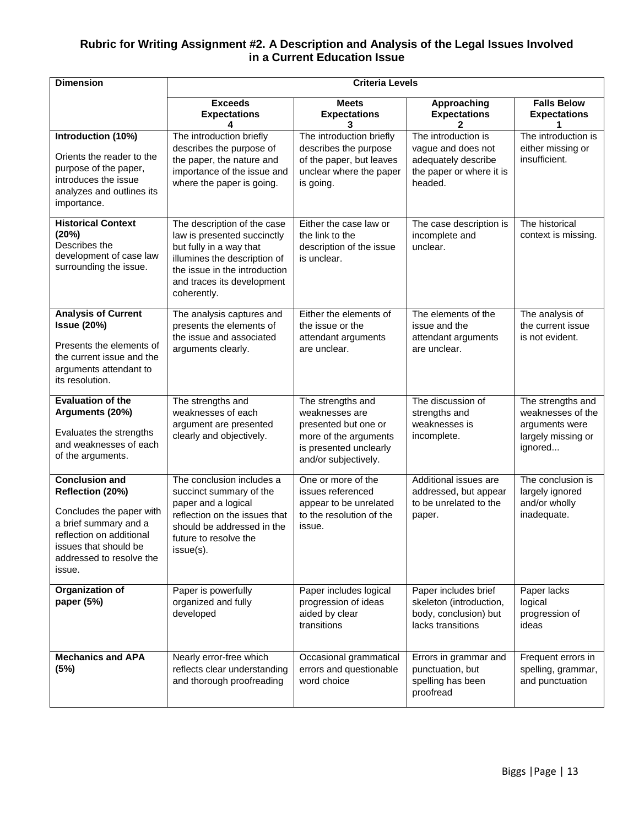#### **Rubric for Writing Assignment #2. A Description and Analysis of the Legal Issues Involved in a Current Education Issue**

| <b>Dimension</b>                                                                                                                                                                          |                                                                                                                                                                                                     | <b>Criteria Levels</b>                                                                                                                 |                                                                                                         |                                                                                           |
|-------------------------------------------------------------------------------------------------------------------------------------------------------------------------------------------|-----------------------------------------------------------------------------------------------------------------------------------------------------------------------------------------------------|----------------------------------------------------------------------------------------------------------------------------------------|---------------------------------------------------------------------------------------------------------|-------------------------------------------------------------------------------------------|
|                                                                                                                                                                                           | <b>Exceeds</b><br><b>Expectations</b>                                                                                                                                                               | <b>Meets</b><br><b>Expectations</b><br>3                                                                                               | Approaching<br><b>Expectations</b>                                                                      | <b>Falls Below</b><br><b>Expectations</b>                                                 |
| Introduction (10%)<br>Orients the reader to the<br>purpose of the paper,<br>introduces the issue<br>analyzes and outlines its<br>importance.                                              | The introduction briefly<br>describes the purpose of<br>the paper, the nature and<br>importance of the issue and<br>where the paper is going.                                                       | The introduction briefly<br>describes the purpose<br>of the paper, but leaves<br>unclear where the paper<br>is going.                  | The introduction is<br>vague and does not<br>adequately describe<br>the paper or where it is<br>headed. | The introduction is<br>either missing or<br>insufficient.                                 |
| <b>Historical Context</b><br>(20%)<br>Describes the<br>development of case law<br>surrounding the issue.                                                                                  | The description of the case<br>law is presented succinctly<br>but fully in a way that<br>illumines the description of<br>the issue in the introduction<br>and traces its development<br>coherently. | Either the case law or<br>the link to the<br>description of the issue<br>is unclear.                                                   | The case description is<br>incomplete and<br>unclear.                                                   | The historical<br>context is missing.                                                     |
| <b>Analysis of Current</b><br><b>Issue (20%)</b><br>Presents the elements of<br>the current issue and the<br>arguments attendant to<br>its resolution.                                    | The analysis captures and<br>presents the elements of<br>the issue and associated<br>arguments clearly.                                                                                             | Either the elements of<br>the issue or the<br>attendant arguments<br>are unclear.                                                      | The elements of the<br>issue and the<br>attendant arguments<br>are unclear.                             | The analysis of<br>the current issue<br>is not evident.                                   |
| <b>Evaluation of the</b><br>Arguments (20%)<br>Evaluates the strengths<br>and weaknesses of each<br>of the arguments.                                                                     | The strengths and<br>weaknesses of each<br>argument are presented<br>clearly and objectively.                                                                                                       | The strengths and<br>weaknesses are<br>presented but one or<br>more of the arguments<br>is presented unclearly<br>and/or subjectively. | The discussion of<br>strengths and<br>weaknesses is<br>incomplete.                                      | The strengths and<br>weaknesses of the<br>arguments were<br>largely missing or<br>ignored |
| <b>Conclusion and</b><br>Reflection (20%)<br>Concludes the paper with<br>a brief summary and a<br>reflection on additional<br>issues that should be<br>addressed to resolve the<br>issue. | The conclusion includes a<br>succinct summary of the<br>paper and a logical<br>reflection on the issues that<br>should be addressed in the<br>future to resolve the<br>issue(s).                    | One or more of the<br>issues referenced<br>appear to be unrelated<br>to the resolution of the<br>issue.                                | Additional issues are<br>addressed, but appear<br>to be unrelated to the<br>paper.                      | The conclusion is<br>largely ignored<br>and/or wholly<br>inadequate.                      |
| Organization of<br>paper (5%)                                                                                                                                                             | Paper is powerfully<br>organized and fully<br>developed                                                                                                                                             | Paper includes logical<br>progression of ideas<br>aided by clear<br>transitions                                                        | Paper includes brief<br>skeleton (introduction,<br>body, conclusion) but<br>lacks transitions           | Paper lacks<br>logical<br>progression of<br>ideas                                         |
| <b>Mechanics and APA</b><br>(5%)                                                                                                                                                          | Nearly error-free which<br>reflects clear understanding<br>and thorough proofreading                                                                                                                | Occasional grammatical<br>errors and questionable<br>word choice                                                                       | Errors in grammar and<br>punctuation, but<br>spelling has been<br>proofread                             | Frequent errors in<br>spelling, grammar,<br>and punctuation                               |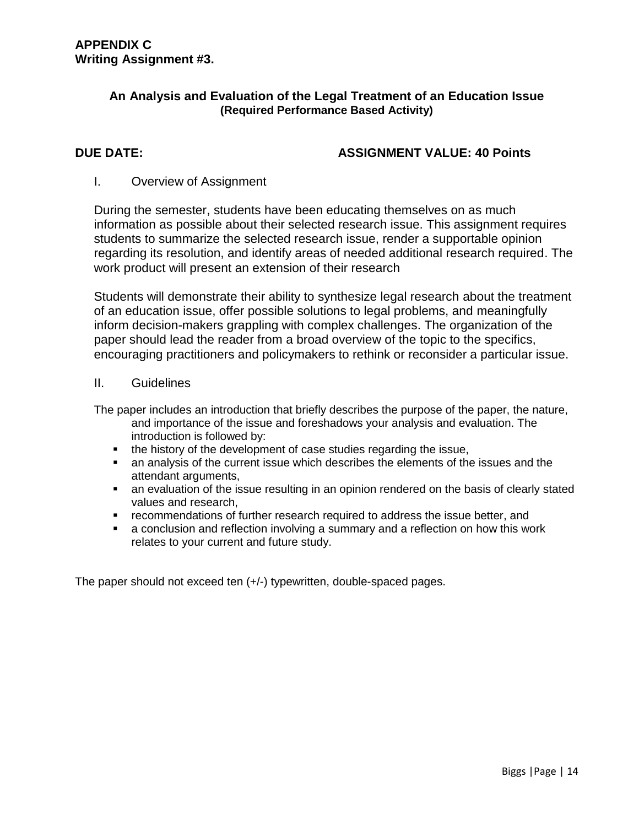#### **An Analysis and Evaluation of the Legal Treatment of an Education Issue (Required Performance Based Activity)**

#### **DUE DATE: ASSIGNMENT VALUE: 40 Points**

#### I. Overview of Assignment

During the semester, students have been educating themselves on as much information as possible about their selected research issue. This assignment requires students to summarize the selected research issue, render a supportable opinion regarding its resolution, and identify areas of needed additional research required. The work product will present an extension of their research

Students will demonstrate their ability to synthesize legal research about the treatment of an education issue, offer possible solutions to legal problems, and meaningfully inform decision-makers grappling with complex challenges. The organization of the paper should lead the reader from a broad overview of the topic to the specifics, encouraging practitioners and policymakers to rethink or reconsider a particular issue.

#### II. Guidelines

The paper includes an introduction that briefly describes the purpose of the paper, the nature, and importance of the issue and foreshadows your analysis and evaluation. The introduction is followed by:

- the history of the development of case studies regarding the issue,
- an analysis of the current issue which describes the elements of the issues and the attendant arguments,
- an evaluation of the issue resulting in an opinion rendered on the basis of clearly stated values and research,
- recommendations of further research required to address the issue better, and
- a conclusion and reflection involving a summary and a reflection on how this work relates to your current and future study.

The paper should not exceed ten (+/-) typewritten, double-spaced pages.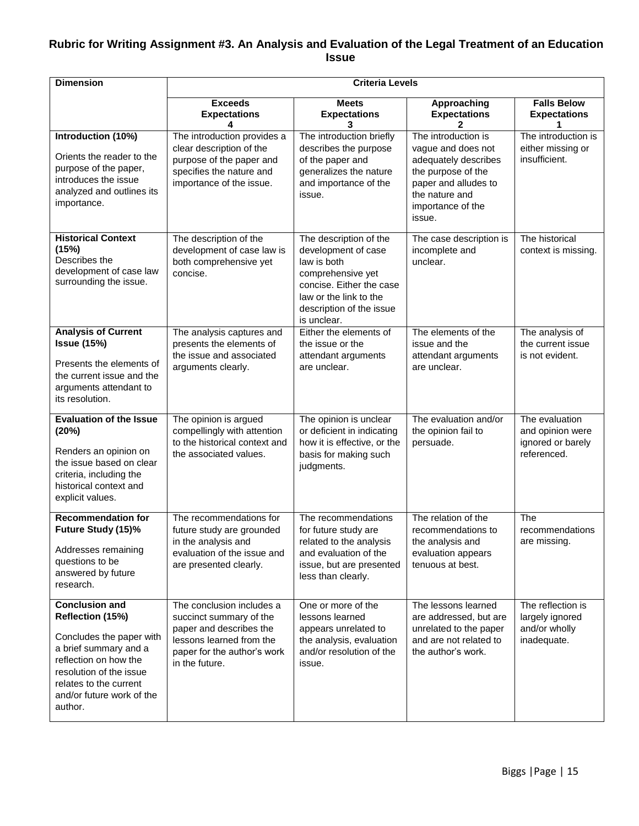#### **Rubric for Writing Assignment #3. An Analysis and Evaluation of the Legal Treatment of an Education Issue**

| <b>Dimension</b>                                                                                                                                                                                                     |                                                                                                                                                              | <b>Criteria Levels</b>                                                                                                                                                             |                                                                                                                                                                  |                                                                        |
|----------------------------------------------------------------------------------------------------------------------------------------------------------------------------------------------------------------------|--------------------------------------------------------------------------------------------------------------------------------------------------------------|------------------------------------------------------------------------------------------------------------------------------------------------------------------------------------|------------------------------------------------------------------------------------------------------------------------------------------------------------------|------------------------------------------------------------------------|
|                                                                                                                                                                                                                      | <b>Exceeds</b><br><b>Expectations</b>                                                                                                                        | <b>Meets</b><br><b>Expectations</b>                                                                                                                                                | Approaching<br><b>Expectations</b>                                                                                                                               | <b>Falls Below</b><br><b>Expectations</b>                              |
| Introduction (10%)<br>Orients the reader to the<br>purpose of the paper,<br>introduces the issue<br>analyzed and outlines its<br>importance.                                                                         | The introduction provides a<br>clear description of the<br>purpose of the paper and<br>specifies the nature and<br>importance of the issue.                  | The introduction briefly<br>describes the purpose<br>of the paper and<br>generalizes the nature<br>and importance of the<br>issue.                                                 | The introduction is<br>vague and does not<br>adequately describes<br>the purpose of the<br>paper and alludes to<br>the nature and<br>importance of the<br>issue. | The introduction is<br>either missing or<br>insufficient.              |
| <b>Historical Context</b><br>(15%)<br>Describes the<br>development of case law<br>surrounding the issue.                                                                                                             | The description of the<br>development of case law is<br>both comprehensive yet<br>concise.                                                                   | The description of the<br>development of case<br>law is both<br>comprehensive yet<br>concise. Either the case<br>law or the link to the<br>description of the issue<br>is unclear. | The case description is<br>incomplete and<br>unclear.                                                                                                            | The historical<br>context is missing.                                  |
| <b>Analysis of Current</b><br><b>Issue (15%)</b><br>Presents the elements of<br>the current issue and the<br>arguments attendant to<br>its resolution.                                                               | The analysis captures and<br>presents the elements of<br>the issue and associated<br>arguments clearly.                                                      | Either the elements of<br>the issue or the<br>attendant arguments<br>are unclear.                                                                                                  | The elements of the<br>issue and the<br>attendant arguments<br>are unclear.                                                                                      | The analysis of<br>the current issue<br>is not evident.                |
| <b>Evaluation of the Issue</b><br>(20%)<br>Renders an opinion on<br>the issue based on clear<br>criteria, including the<br>historical context and<br>explicit values.                                                | The opinion is argued<br>compellingly with attention<br>to the historical context and<br>the associated values.                                              | The opinion is unclear<br>or deficient in indicating<br>how it is effective, or the<br>basis for making such<br>judgments.                                                         | The evaluation and/or<br>the opinion fail to<br>persuade.                                                                                                        | The evaluation<br>and opinion were<br>ignored or barely<br>referenced. |
| <b>Recommendation for</b><br>Future Study (15)%<br>Addresses remaining<br>questions to be<br>answered by future<br>research.                                                                                         | The recommendations for<br>future study are grounded<br>in the analysis and<br>evaluation of the issue and<br>are presented clearly.                         | The recommendations<br>for future study are<br>related to the analysis<br>and evaluation of the<br>issue, but are presented<br>less than clearly.                                  | The relation of the<br>recommendations to<br>the analysis and<br>evaluation appears<br>tenuous at best.                                                          | The<br>recommendations<br>are missing.                                 |
| <b>Conclusion and</b><br>Reflection (15%)<br>Concludes the paper with<br>a brief summary and a<br>reflection on how the<br>resolution of the issue<br>relates to the current<br>and/or future work of the<br>author. | The conclusion includes a<br>succinct summary of the<br>paper and describes the<br>lessons learned from the<br>paper for the author's work<br>in the future. | One or more of the<br>lessons learned<br>appears unrelated to<br>the analysis, evaluation<br>and/or resolution of the<br>issue.                                                    | The lessons learned<br>are addressed, but are<br>unrelated to the paper<br>and are not related to<br>the author's work.                                          | The reflection is<br>largely ignored<br>and/or wholly<br>inadequate.   |